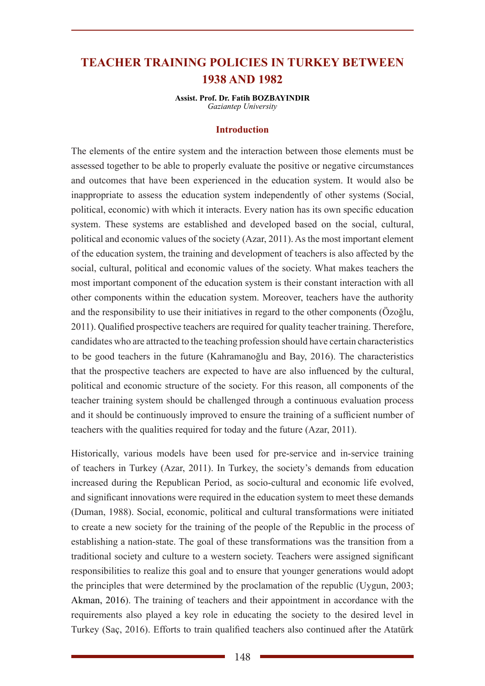# **TEACHER TRAINING POLICIES IN TURKEY BETWEEN 1938 AND 1982**

**Assist. Prof. Dr. Fatih BOZBAYINDIR** *Gaziantep University*

#### **Introduction**

The elements of the entire system and the interaction between those elements must be assessed together to be able to properly evaluate the positive or negative circumstances and outcomes that have been experienced in the education system. It would also be inappropriate to assess the education system independently of other systems (Social, political, economic) with which it interacts. Every nation has its own specific education system. These systems are established and developed based on the social, cultural, political and economic values of the society (Azar, 2011). As the most important element of the education system, the training and development of teachers is also affected by the social, cultural, political and economic values of the society. What makes teachers the most important component of the education system is their constant interaction with all other components within the education system. Moreover, teachers have the authority and the responsibility to use their initiatives in regard to the other components (Özoğlu, 2011). Qualified prospective teachers are required for quality teacher training. Therefore, candidates who are attracted to the teaching profession should have certain characteristics to be good teachers in the future (Kahramanoğlu and Bay, 2016). The characteristics that the prospective teachers are expected to have are also influenced by the cultural, political and economic structure of the society. For this reason, all components of the teacher training system should be challenged through a continuous evaluation process and it should be continuously improved to ensure the training of a sufficient number of teachers with the qualities required for today and the future (Azar, 2011).

Historically, various models have been used for pre-service and in-service training of teachers in Turkey (Azar, 2011). In Turkey, the society's demands from education increased during the Republican Period, as socio-cultural and economic life evolved, and significant innovations were required in the education system to meet these demands (Duman, 1988). Social, economic, political and cultural transformations were initiated to create a new society for the training of the people of the Republic in the process of establishing a nation-state. The goal of these transformations was the transition from a traditional society and culture to a western society. Teachers were assigned significant responsibilities to realize this goal and to ensure that younger generations would adopt the principles that were determined by the proclamation of the republic (Uygun, 2003; Akman, 2016). The training of teachers and their appointment in accordance with the requirements also played a key role in educating the society to the desired level in Turkey (Saç, 2016). Efforts to train qualified teachers also continued after the Atatürk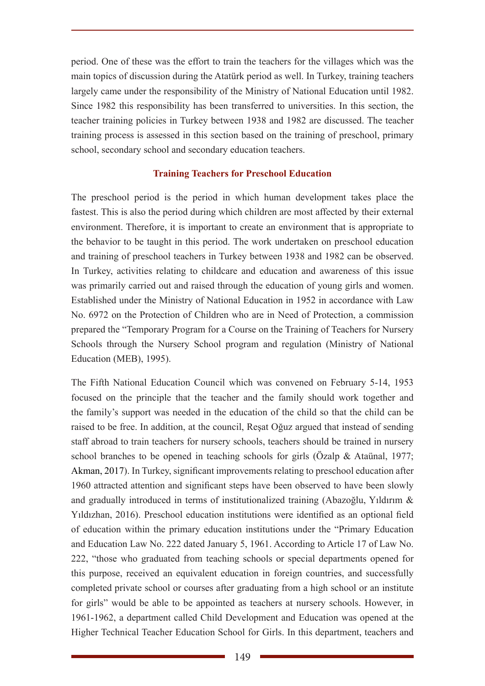period. One of these was the effort to train the teachers for the villages which was the main topics of discussion during the Atatürk period as well. In Turkey, training teachers largely came under the responsibility of the Ministry of National Education until 1982. Since 1982 this responsibility has been transferred to universities. In this section, the teacher training policies in Turkey between 1938 and 1982 are discussed. The teacher training process is assessed in this section based on the training of preschool, primary school, secondary school and secondary education teachers.

## **Training Teachers for Preschool Education**

The preschool period is the period in which human development takes place the fastest. This is also the period during which children are most affected by their external environment. Therefore, it is important to create an environment that is appropriate to the behavior to be taught in this period. The work undertaken on preschool education and training of preschool teachers in Turkey between 1938 and 1982 can be observed. In Turkey, activities relating to childcare and education and awareness of this issue was primarily carried out and raised through the education of young girls and women. Established under the Ministry of National Education in 1952 in accordance with Law No. 6972 on the Protection of Children who are in Need of Protection, a commission prepared the "Temporary Program for a Course on the Training of Teachers for Nursery Schools through the Nursery School program and regulation (Ministry of National Education (MEB), 1995).

The Fifth National Education Council which was convened on February 5-14, 1953 focused on the principle that the teacher and the family should work together and the family's support was needed in the education of the child so that the child can be raised to be free. In addition, at the council, Reşat Oğuz argued that instead of sending staff abroad to train teachers for nursery schools, teachers should be trained in nursery school branches to be opened in teaching schools for girls (Özalp & Ataünal, 1977; Akman, 2017). In Turkey, significant improvements relating to preschool education after 1960 attracted attention and significant steps have been observed to have been slowly and gradually introduced in terms of institutionalized training (Abazoğlu, Yıldırım & Yıldızhan, 2016). Preschool education institutions were identified as an optional field of education within the primary education institutions under the "Primary Education and Education Law No. 222 dated January 5, 1961. According to Article 17 of Law No. 222, "those who graduated from teaching schools or special departments opened for this purpose, received an equivalent education in foreign countries, and successfully completed private school or courses after graduating from a high school or an institute for girls" would be able to be appointed as teachers at nursery schools. However, in 1961-1962, a department called Child Development and Education was opened at the Higher Technical Teacher Education School for Girls. In this department, teachers and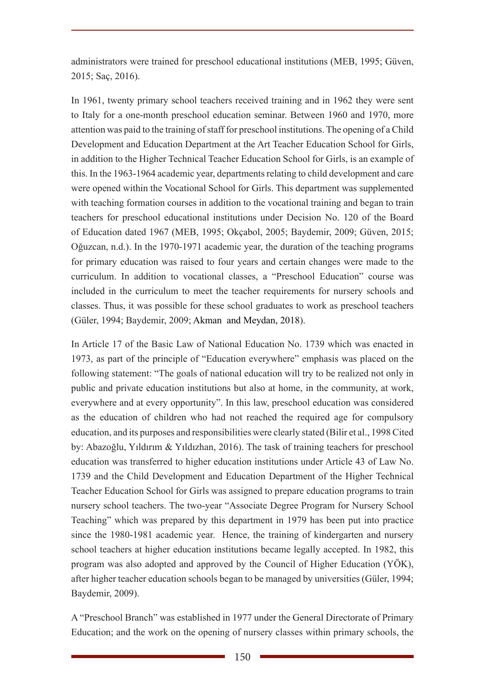administrators were trained for preschool educational institutions (MEB, 1995; Güven, 2015; Saç, 2016).

In 1961, twenty primary school teachers received training and in 1962 they were sent to Italy for a one-month preschool education seminar. Between 1960 and 1970, more attention was paid to the training of staff for preschool institutions. The opening of a Child Development and Education Department at the Art Teacher Education School for Girls, in addition to the Higher Technical Teacher Education School for Girls, is an example of this. In the 1963-1964 academic year, departments relating to child development and care were opened within the Vocational School for Girls. This department was supplemented with teaching formation courses in addition to the vocational training and began to train teachers for preschool educational institutions under Decision No. 120 of the Board of Education dated 1967 (MEB, 1995; Okçabol, 2005; Baydemir, 2009; Güven, 2015; Oğuzcan, n.d.). In the 1970-1971 academic year, the duration of the teaching programs for primary education was raised to four years and certain changes were made to the curriculum. In addition to vocational classes, a "Preschool Education" course was included in the curriculum to meet the teacher requirements for nursery schools and classes. Thus, it was possible for these school graduates to work as preschool teachers (Güler, 1994; Baydemir, 2009; Akman and Meydan, 2018).

In Article 17 of the Basic Law of National Education No. 1739 which was enacted in 1973, as part of the principle of "Education everywhere" emphasis was placed on the following statement: "The goals of national education will try to be realized not only in public and private education institutions but also at home, in the community, at work, everywhere and at every opportunity". In this law, preschool education was considered as the education of children who had not reached the required age for compulsory education, and its purposes and responsibilities were clearly stated (Bilir et al., 1998 Cited by: Abazoğlu, Yıldırım & Yıldızhan, 2016). The task of training teachers for preschool education was transferred to higher education institutions under Article 43 of Law No. 1739 and the Child Development and Education Department of the Higher Technical Teacher Education School for Girls was assigned to prepare education programs to train nursery school teachers. The two-year "Associate Degree Program for Nursery School Teaching" which was prepared by this department in 1979 has been put into practice since the 1980-1981 academic year. Hence, the training of kindergarten and nursery school teachers at higher education institutions became legally accepted. In 1982, this program was also adopted and approved by the Council of Higher Education (YÖK), after higher teacher education schools began to be managed by universities (Güler, 1994; Baydemir, 2009).

A "Preschool Branch" was established in 1977 under the General Directorate of Primary Education; and the work on the opening of nursery classes within primary schools, the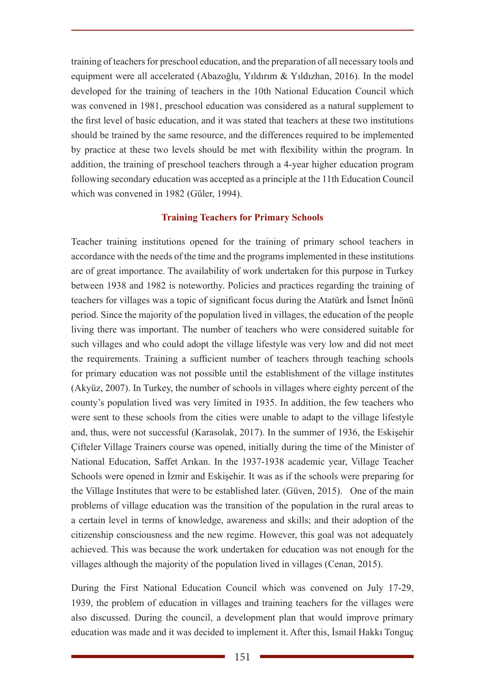training of teachers for preschool education, and the preparation of all necessary tools and equipment were all accelerated (Abazoğlu, Yıldırım & Yıldızhan, 2016). In the model developed for the training of teachers in the 10th National Education Council which was convened in 1981, preschool education was considered as a natural supplement to the first level of basic education, and it was stated that teachers at these two institutions should be trained by the same resource, and the differences required to be implemented by practice at these two levels should be met with flexibility within the program. In addition, the training of preschool teachers through a 4-year higher education program following secondary education was accepted as a principle at the 11th Education Council which was convened in 1982 (Güler, 1994).

## **Training Teachers for Primary Schools**

Teacher training institutions opened for the training of primary school teachers in accordance with the needs of the time and the programs implemented in these institutions are of great importance. The availability of work undertaken for this purpose in Turkey between 1938 and 1982 is noteworthy. Policies and practices regarding the training of teachers for villages was a topic of significant focus during the Atatürk and İsmet İnönü period. Since the majority of the population lived in villages, the education of the people living there was important. The number of teachers who were considered suitable for such villages and who could adopt the village lifestyle was very low and did not meet the requirements. Training a sufficient number of teachers through teaching schools for primary education was not possible until the establishment of the village institutes (Akyüz, 2007). In Turkey, the number of schools in villages where eighty percent of the county's population lived was very limited in 1935. In addition, the few teachers who were sent to these schools from the cities were unable to adapt to the village lifestyle and, thus, were not successful (Karasolak, 2017). In the summer of 1936, the Eskişehir Çifteler Village Trainers course was opened, initially during the time of the Minister of National Education, Saffet Arıkan. In the 1937-1938 academic year, Village Teacher Schools were opened in İzmir and Eskişehir. It was as if the schools were preparing for the Village Institutes that were to be established later. (Güven, 2015). One of the main problems of village education was the transition of the population in the rural areas to a certain level in terms of knowledge, awareness and skills; and their adoption of the citizenship consciousness and the new regime. However, this goal was not adequately achieved. This was because the work undertaken for education was not enough for the villages although the majority of the population lived in villages (Cenan, 2015).

During the First National Education Council which was convened on July 17-29, 1939, the problem of education in villages and training teachers for the villages were also discussed. During the council, a development plan that would improve primary education was made and it was decided to implement it. After this, İsmail Hakkı Tonguç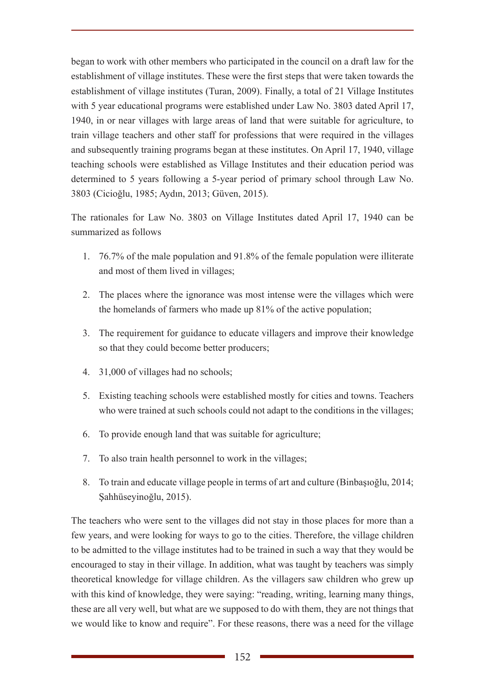began to work with other members who participated in the council on a draft law for the establishment of village institutes. These were the first steps that were taken towards the establishment of village institutes (Turan, 2009). Finally, a total of 21 Village Institutes with 5 year educational programs were established under Law No. 3803 dated April 17, 1940, in or near villages with large areas of land that were suitable for agriculture, to train village teachers and other staff for professions that were required in the villages and subsequently training programs began at these institutes. On April 17, 1940, village teaching schools were established as Village Institutes and their education period was determined to 5 years following a 5-year period of primary school through Law No. 3803 (Cicioğlu, 1985; Aydın, 2013; Güven, 2015).

The rationales for Law No. 3803 on Village Institutes dated April 17, 1940 can be summarized as follows

- 1. 76.7% of the male population and 91.8% of the female population were illiterate and most of them lived in villages;
- 2. The places where the ignorance was most intense were the villages which were the homelands of farmers who made up 81% of the active population;
- 3. The requirement for guidance to educate villagers and improve their knowledge so that they could become better producers;
- 4. 31,000 of villages had no schools;
- 5. Existing teaching schools were established mostly for cities and towns. Teachers who were trained at such schools could not adapt to the conditions in the villages;
- 6. To provide enough land that was suitable for agriculture;
- 7. To also train health personnel to work in the villages;
- 8. To train and educate village people in terms of art and culture (Binbaşıoğlu, 2014; Şahhüseyinoğlu, 2015).

The teachers who were sent to the villages did not stay in those places for more than a few years, and were looking for ways to go to the cities. Therefore, the village children to be admitted to the village institutes had to be trained in such a way that they would be encouraged to stay in their village. In addition, what was taught by teachers was simply theoretical knowledge for village children. As the villagers saw children who grew up with this kind of knowledge, they were saying: "reading, writing, learning many things, these are all very well, but what are we supposed to do with them, they are not things that we would like to know and require". For these reasons, there was a need for the village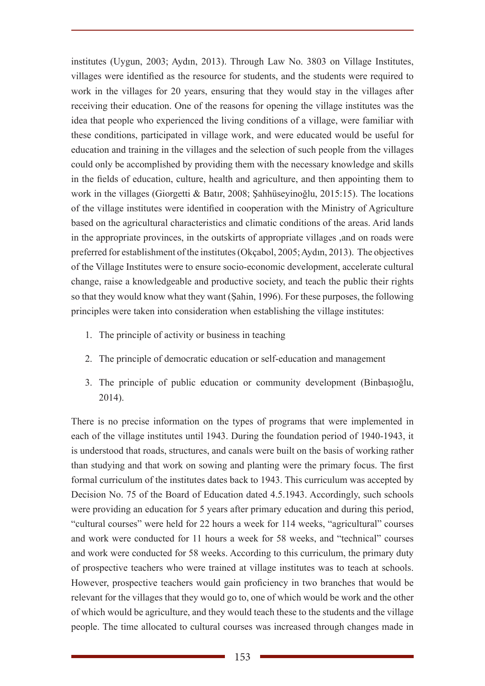institutes (Uygun, 2003; Aydın, 2013). Through Law No. 3803 on Village Institutes, villages were identified as the resource for students, and the students were required to work in the villages for 20 years, ensuring that they would stay in the villages after receiving their education. One of the reasons for opening the village institutes was the idea that people who experienced the living conditions of a village, were familiar with these conditions, participated in village work, and were educated would be useful for education and training in the villages and the selection of such people from the villages could only be accomplished by providing them with the necessary knowledge and skills in the fields of education, culture, health and agriculture, and then appointing them to work in the villages (Giorgetti & Batır, 2008; Şahhüseyinoğlu, 2015:15). The locations of the village institutes were identified in cooperation with the Ministry of Agriculture based on the agricultural characteristics and climatic conditions of the areas. Arid lands in the appropriate provinces, in the outskirts of appropriate villages ,and on roads were preferred for establishment of the institutes (Okçabol, 2005; Aydın, 2013). The objectives of the Village Institutes were to ensure socio-economic development, accelerate cultural change, raise a knowledgeable and productive society, and teach the public their rights so that they would know what they want (Şahin, 1996). For these purposes, the following principles were taken into consideration when establishing the village institutes:

- 1. The principle of activity or business in teaching
- 2. The principle of democratic education or self-education and management
- 3. The principle of public education or community development (Binbaşıoğlu, 2014).

There is no precise information on the types of programs that were implemented in each of the village institutes until 1943. During the foundation period of 1940-1943, it is understood that roads, structures, and canals were built on the basis of working rather than studying and that work on sowing and planting were the primary focus. The first formal curriculum of the institutes dates back to 1943. This curriculum was accepted by Decision No. 75 of the Board of Education dated 4.5.1943. Accordingly, such schools were providing an education for 5 years after primary education and during this period, "cultural courses" were held for 22 hours a week for 114 weeks, "agricultural" courses and work were conducted for 11 hours a week for 58 weeks, and "technical" courses and work were conducted for 58 weeks. According to this curriculum, the primary duty of prospective teachers who were trained at village institutes was to teach at schools. However, prospective teachers would gain proficiency in two branches that would be relevant for the villages that they would go to, one of which would be work and the other of which would be agriculture, and they would teach these to the students and the village people. The time allocated to cultural courses was increased through changes made in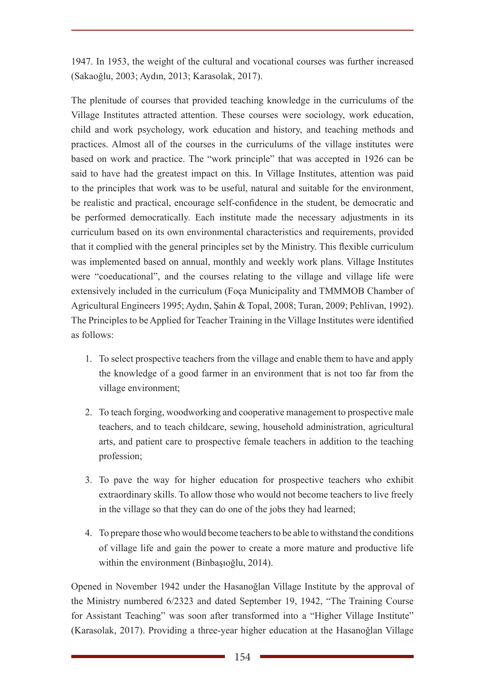1947. In 1953, the weight of the cultural and vocational courses was further increased (Sakaoğlu, 2003; Aydın, 2013; Karasolak, 2017).

The plenitude of courses that provided teaching knowledge in the curriculums of the Village Institutes attracted attention. These courses were sociology, work education, child and work psychology, work education and history, and teaching methods and practices. Almost all of the courses in the curriculums of the village institutes were based on work and practice. The "work principle" that was accepted in 1926 can be said to have had the greatest impact on this. In Village Institutes, attention was paid to the principles that work was to be useful, natural and suitable for the environment, be realistic and practical, encourage self-confidence in the student, be democratic and be performed democratically. Each institute made the necessary adjustments in its curriculum based on its own environmental characteristics and requirements, provided that it complied with the general principles set by the Ministry. This flexible curriculum was implemented based on annual, monthly and weekly work plans. Village Institutes were "coeducational", and the courses relating to the village and village life were extensively included in the curriculum (Foça Municipality and TMMMOB Chamber of Agricultural Engineers 1995; Aydın, Şahin & Topal, 2008; Turan, 2009; Pehlivan, 1992). The Principles to be Applied for Teacher Training in the Village Institutes were identified as follows:

- 1. To select prospective teachers from the village and enable them to have and apply the knowledge of a good farmer in an environment that is not too far from the village environment;
- 2. To teach forging, woodworking and cooperative management to prospective male teachers, and to teach childcare, sewing, household administration, agricultural arts, and patient care to prospective female teachers in addition to the teaching profession;
- 3. To pave the way for higher education for prospective teachers who exhibit extraordinary skills. To allow those who would not become teachers to live freely in the village so that they can do one of the jobs they had learned;
- 4. To prepare those who would become teachers to be able to withstand the conditions of village life and gain the power to create a more mature and productive life within the environment (Binbaşıoğlu, 2014).

Opened in November 1942 under the Hasanoğlan Village Institute by the approval of the Ministry numbered 6/2323 and dated September 19, 1942, "The Training Course for Assistant Teaching" was soon after transformed into a "Higher Village Institute" (Karasolak, 2017). Providing a three-year higher education at the Hasanoğlan Village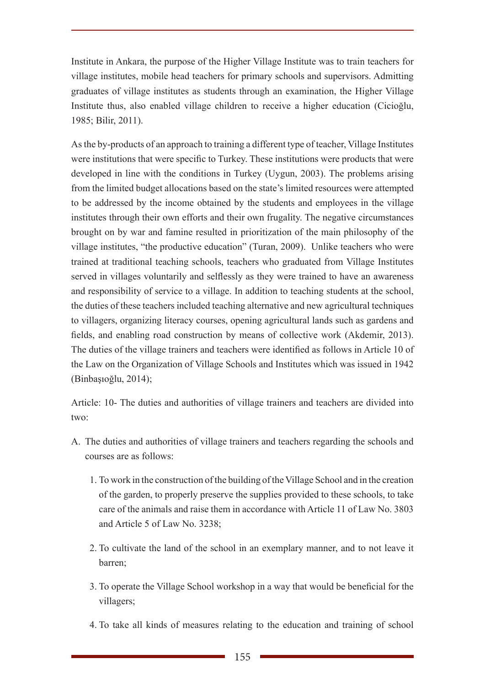Institute in Ankara, the purpose of the Higher Village Institute was to train teachers for village institutes, mobile head teachers for primary schools and supervisors. Admitting graduates of village institutes as students through an examination, the Higher Village Institute thus, also enabled village children to receive a higher education (Cicioğlu, 1985; Bilir, 2011).

As the by-products of an approach to training a different type of teacher, Village Institutes were institutions that were specific to Turkey. These institutions were products that were developed in line with the conditions in Turkey (Uygun, 2003). The problems arising from the limited budget allocations based on the state's limited resources were attempted to be addressed by the income obtained by the students and employees in the village institutes through their own efforts and their own frugality. The negative circumstances brought on by war and famine resulted in prioritization of the main philosophy of the village institutes, "the productive education" (Turan, 2009). Unlike teachers who were trained at traditional teaching schools, teachers who graduated from Village Institutes served in villages voluntarily and selflessly as they were trained to have an awareness and responsibility of service to a village. In addition to teaching students at the school, the duties of these teachers included teaching alternative and new agricultural techniques to villagers, organizing literacy courses, opening agricultural lands such as gardens and fields, and enabling road construction by means of collective work (Akdemir, 2013). The duties of the village trainers and teachers were identified as follows in Article 10 of the Law on the Organization of Village Schools and Institutes which was issued in 1942 (Binbaşıoğlu, 2014);

Article: 10- The duties and authorities of village trainers and teachers are divided into two:

- A. The duties and authorities of village trainers and teachers regarding the schools and courses are as follows:
	- 1. To work in the construction of the building of the Village School and in the creation of the garden, to properly preserve the supplies provided to these schools, to take care of the animals and raise them in accordance with Article 11 of Law No. 3803 and Article 5 of Law No. 3238;
	- 2. To cultivate the land of the school in an exemplary manner, and to not leave it barren;
	- 3. To operate the Village School workshop in a way that would be beneficial for the villagers;
	- 4. To take all kinds of measures relating to the education and training of school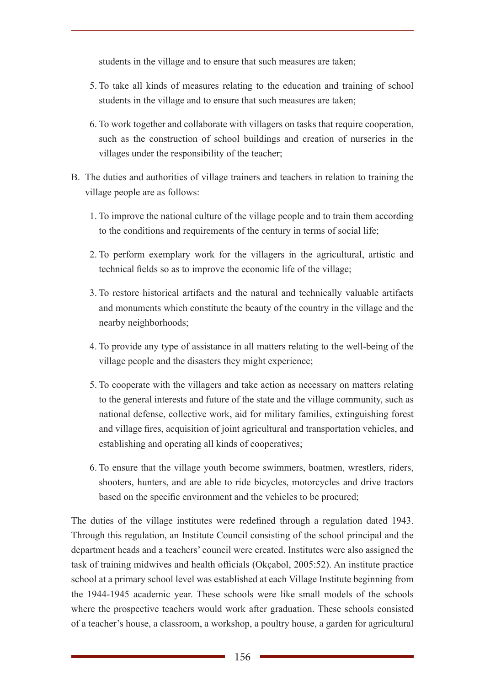students in the village and to ensure that such measures are taken;

- 5. To take all kinds of measures relating to the education and training of school students in the village and to ensure that such measures are taken;
- 6. To work together and collaborate with villagers on tasks that require cooperation, such as the construction of school buildings and creation of nurseries in the villages under the responsibility of the teacher;
- B. The duties and authorities of village trainers and teachers in relation to training the village people are as follows:
	- 1. To improve the national culture of the village people and to train them according to the conditions and requirements of the century in terms of social life;
	- 2. To perform exemplary work for the villagers in the agricultural, artistic and technical fields so as to improve the economic life of the village;
	- 3. To restore historical artifacts and the natural and technically valuable artifacts and monuments which constitute the beauty of the country in the village and the nearby neighborhoods;
	- 4. To provide any type of assistance in all matters relating to the well-being of the village people and the disasters they might experience;
	- 5. To cooperate with the villagers and take action as necessary on matters relating to the general interests and future of the state and the village community, such as national defense, collective work, aid for military families, extinguishing forest and village fires, acquisition of joint agricultural and transportation vehicles, and establishing and operating all kinds of cooperatives;
	- 6. To ensure that the village youth become swimmers, boatmen, wrestlers, riders, shooters, hunters, and are able to ride bicycles, motorcycles and drive tractors based on the specific environment and the vehicles to be procured;

The duties of the village institutes were redefined through a regulation dated 1943. Through this regulation, an Institute Council consisting of the school principal and the department heads and a teachers' council were created. Institutes were also assigned the task of training midwives and health officials (Okçabol, 2005:52). An institute practice school at a primary school level was established at each Village Institute beginning from the 1944-1945 academic year. These schools were like small models of the schools where the prospective teachers would work after graduation. These schools consisted of a teacher's house, a classroom, a workshop, a poultry house, a garden for agricultural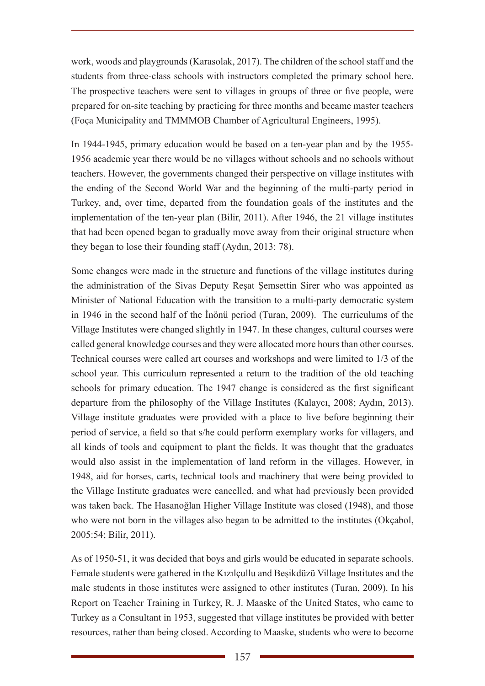work, woods and playgrounds (Karasolak, 2017). The children of the school staff and the students from three-class schools with instructors completed the primary school here. The prospective teachers were sent to villages in groups of three or five people, were prepared for on-site teaching by practicing for three months and became master teachers (Foça Municipality and TMMMOB Chamber of Agricultural Engineers, 1995).

In 1944-1945, primary education would be based on a ten-year plan and by the 1955- 1956 academic year there would be no villages without schools and no schools without teachers. However, the governments changed their perspective on village institutes with the ending of the Second World War and the beginning of the multi-party period in Turkey, and, over time, departed from the foundation goals of the institutes and the implementation of the ten-year plan (Bilir, 2011). After 1946, the 21 village institutes that had been opened began to gradually move away from their original structure when they began to lose their founding staff (Aydın, 2013: 78).

Some changes were made in the structure and functions of the village institutes during the administration of the Sivas Deputy Reşat Şemsettin Sirer who was appointed as Minister of National Education with the transition to a multi-party democratic system in 1946 in the second half of the İnönü period (Turan, 2009). The curriculums of the Village Institutes were changed slightly in 1947. In these changes, cultural courses were called general knowledge courses and they were allocated more hours than other courses. Technical courses were called art courses and workshops and were limited to 1/3 of the school year. This curriculum represented a return to the tradition of the old teaching schools for primary education. The 1947 change is considered as the first significant departure from the philosophy of the Village Institutes (Kalaycı, 2008; Aydın, 2013). Village institute graduates were provided with a place to live before beginning their period of service, a field so that s/he could perform exemplary works for villagers, and all kinds of tools and equipment to plant the fields. It was thought that the graduates would also assist in the implementation of land reform in the villages. However, in 1948, aid for horses, carts, technical tools and machinery that were being provided to the Village Institute graduates were cancelled, and what had previously been provided was taken back. The Hasanoğlan Higher Village Institute was closed (1948), and those who were not born in the villages also began to be admitted to the institutes (Okçabol, 2005:54; Bilir, 2011).

As of 1950-51, it was decided that boys and girls would be educated in separate schools. Female students were gathered in the Kızılçullu and Beşikdüzü Village Institutes and the male students in those institutes were assigned to other institutes (Turan, 2009). In his Report on Teacher Training in Turkey, R. J. Maaske of the United States, who came to Turkey as a Consultant in 1953, suggested that village institutes be provided with better resources, rather than being closed. According to Maaske, students who were to become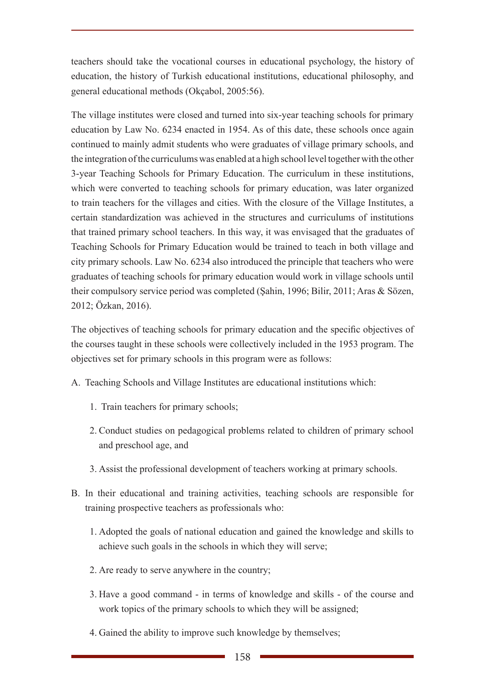teachers should take the vocational courses in educational psychology, the history of education, the history of Turkish educational institutions, educational philosophy, and general educational methods (Okçabol, 2005:56).

The village institutes were closed and turned into six-year teaching schools for primary education by Law No. 6234 enacted in 1954. As of this date, these schools once again continued to mainly admit students who were graduates of village primary schools, and the integration of the curriculums was enabled at a high school level together with the other 3-year Teaching Schools for Primary Education. The curriculum in these institutions, which were converted to teaching schools for primary education, was later organized to train teachers for the villages and cities. With the closure of the Village Institutes, a certain standardization was achieved in the structures and curriculums of institutions that trained primary school teachers. In this way, it was envisaged that the graduates of Teaching Schools for Primary Education would be trained to teach in both village and city primary schools. Law No. 6234 also introduced the principle that teachers who were graduates of teaching schools for primary education would work in village schools until their compulsory service period was completed (Şahin, 1996; Bilir, 2011; Aras & Sözen, 2012; Özkan, 2016).

The objectives of teaching schools for primary education and the specific objectives of the courses taught in these schools were collectively included in the 1953 program. The objectives set for primary schools in this program were as follows:

- A. Teaching Schools and Village Institutes are educational institutions which:
	- 1. Train teachers for primary schools;
	- 2. Conduct studies on pedagogical problems related to children of primary school and preschool age, and
	- 3. Assist the professional development of teachers working at primary schools.
- B. In their educational and training activities, teaching schools are responsible for training prospective teachers as professionals who:
	- 1. Adopted the goals of national education and gained the knowledge and skills to achieve such goals in the schools in which they will serve;
	- 2. Are ready to serve anywhere in the country;
	- 3. Have a good command in terms of knowledge and skills of the course and work topics of the primary schools to which they will be assigned;
	- 4. Gained the ability to improve such knowledge by themselves;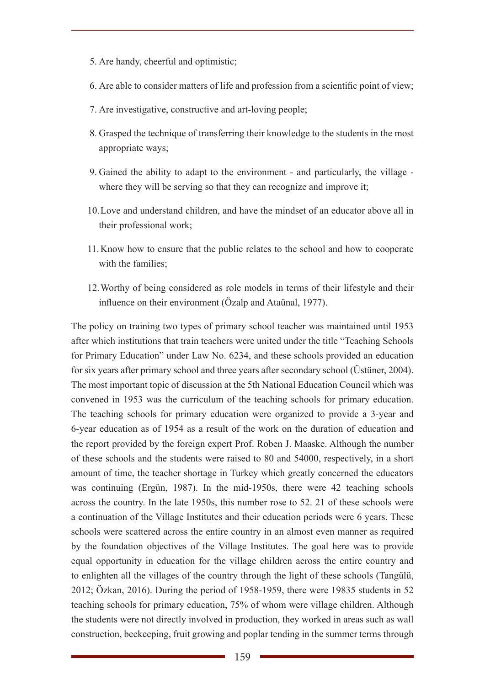- 5. Are handy, cheerful and optimistic;
- 6. Are able to consider matters of life and profession from a scientific point of view;
- 7. Are investigative, constructive and art-loving people;
- 8. Grasped the technique of transferring their knowledge to the students in the most appropriate ways;
- 9. Gained the ability to adapt to the environment and particularly, the village where they will be serving so that they can recognize and improve it;
- 10.Love and understand children, and have the mindset of an educator above all in their professional work;
- 11.Know how to ensure that the public relates to the school and how to cooperate with the families:
- 12.Worthy of being considered as role models in terms of their lifestyle and their influence on their environment (Özalp and Ataünal, 1977).

The policy on training two types of primary school teacher was maintained until 1953 after which institutions that train teachers were united under the title "Teaching Schools for Primary Education" under Law No. 6234, and these schools provided an education for six years after primary school and three years after secondary school (Üstüner, 2004). The most important topic of discussion at the 5th National Education Council which was convened in 1953 was the curriculum of the teaching schools for primary education. The teaching schools for primary education were organized to provide a 3-year and 6-year education as of 1954 as a result of the work on the duration of education and the report provided by the foreign expert Prof. Roben J. Maaske. Although the number of these schools and the students were raised to 80 and 54000, respectively, in a short amount of time, the teacher shortage in Turkey which greatly concerned the educators was continuing (Ergün, 1987). In the mid-1950s, there were 42 teaching schools across the country. In the late 1950s, this number rose to 52. 21 of these schools were a continuation of the Village Institutes and their education periods were 6 years. These schools were scattered across the entire country in an almost even manner as required by the foundation objectives of the Village Institutes. The goal here was to provide equal opportunity in education for the village children across the entire country and to enlighten all the villages of the country through the light of these schools (Tangülü, 2012; Özkan, 2016). During the period of 1958-1959, there were 19835 students in 52 teaching schools for primary education, 75% of whom were village children. Although the students were not directly involved in production, they worked in areas such as wall construction, beekeeping, fruit growing and poplar tending in the summer terms through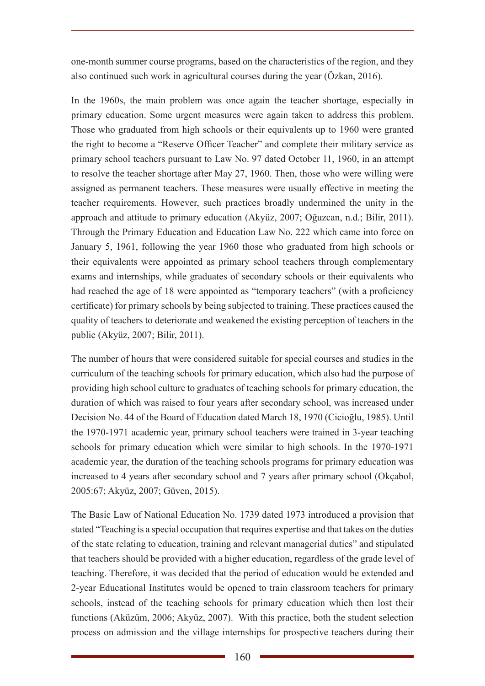one-month summer course programs, based on the characteristics of the region, and they also continued such work in agricultural courses during the year (Özkan, 2016).

In the 1960s, the main problem was once again the teacher shortage, especially in primary education. Some urgent measures were again taken to address this problem. Those who graduated from high schools or their equivalents up to 1960 were granted the right to become a "Reserve Officer Teacher" and complete their military service as primary school teachers pursuant to Law No. 97 dated October 11, 1960, in an attempt to resolve the teacher shortage after May 27, 1960. Then, those who were willing were assigned as permanent teachers. These measures were usually effective in meeting the teacher requirements. However, such practices broadly undermined the unity in the approach and attitude to primary education (Akyüz, 2007; Oğuzcan, n.d.; Bilir, 2011). Through the Primary Education and Education Law No. 222 which came into force on January 5, 1961, following the year 1960 those who graduated from high schools or their equivalents were appointed as primary school teachers through complementary exams and internships, while graduates of secondary schools or their equivalents who had reached the age of 18 were appointed as "temporary teachers" (with a proficiency certificate) for primary schools by being subjected to training. These practices caused the quality of teachers to deteriorate and weakened the existing perception of teachers in the public (Akyüz, 2007; Bilir, 2011).

The number of hours that were considered suitable for special courses and studies in the curriculum of the teaching schools for primary education, which also had the purpose of providing high school culture to graduates of teaching schools for primary education, the duration of which was raised to four years after secondary school, was increased under Decision No. 44 of the Board of Education dated March 18, 1970 (Cicioğlu, 1985). Until the 1970-1971 academic year, primary school teachers were trained in 3-year teaching schools for primary education which were similar to high schools. In the 1970-1971 academic year, the duration of the teaching schools programs for primary education was increased to 4 years after secondary school and 7 years after primary school (Okçabol, 2005:67; Akyüz, 2007; Güven, 2015).

The Basic Law of National Education No. 1739 dated 1973 introduced a provision that stated "Teaching is a special occupation that requires expertise and that takes on the duties of the state relating to education, training and relevant managerial duties" and stipulated that teachers should be provided with a higher education, regardless of the grade level of teaching. Therefore, it was decided that the period of education would be extended and 2-year Educational Institutes would be opened to train classroom teachers for primary schools, instead of the teaching schools for primary education which then lost their functions (Aküzüm, 2006; Akyüz, 2007). With this practice, both the student selection process on admission and the village internships for prospective teachers during their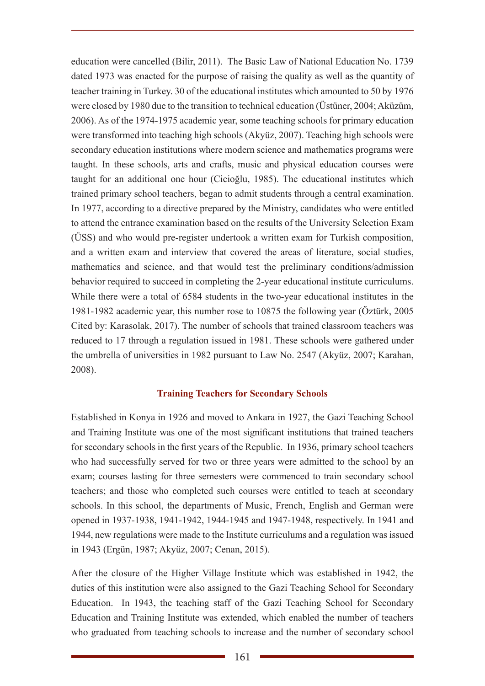education were cancelled (Bilir, 2011). The Basic Law of National Education No. 1739 dated 1973 was enacted for the purpose of raising the quality as well as the quantity of teacher training in Turkey. 30 of the educational institutes which amounted to 50 by 1976 were closed by 1980 due to the transition to technical education (Üstüner, 2004; Aküzüm, 2006). As of the 1974-1975 academic year, some teaching schools for primary education were transformed into teaching high schools (Akyüz, 2007). Teaching high schools were secondary education institutions where modern science and mathematics programs were taught. In these schools, arts and crafts, music and physical education courses were taught for an additional one hour (Cicioğlu, 1985). The educational institutes which trained primary school teachers, began to admit students through a central examination. In 1977, according to a directive prepared by the Ministry, candidates who were entitled to attend the entrance examination based on the results of the University Selection Exam (ÜSS) and who would pre-register undertook a written exam for Turkish composition, and a written exam and interview that covered the areas of literature, social studies, mathematics and science, and that would test the preliminary conditions/admission behavior required to succeed in completing the 2-year educational institute curriculums. While there were a total of 6584 students in the two-year educational institutes in the 1981-1982 academic year, this number rose to 10875 the following year (Öztürk, 2005 Cited by: Karasolak, 2017). The number of schools that trained classroom teachers was reduced to 17 through a regulation issued in 1981. These schools were gathered under the umbrella of universities in 1982 pursuant to Law No. 2547 (Akyüz, 2007; Karahan, 2008).

## **Training Teachers for Secondary Schools**

Established in Konya in 1926 and moved to Ankara in 1927, the Gazi Teaching School and Training Institute was one of the most significant institutions that trained teachers for secondary schools in the first years of the Republic. In 1936, primary school teachers who had successfully served for two or three years were admitted to the school by an exam; courses lasting for three semesters were commenced to train secondary school teachers; and those who completed such courses were entitled to teach at secondary schools. In this school, the departments of Music, French, English and German were opened in 1937-1938, 1941-1942, 1944-1945 and 1947-1948, respectively. In 1941 and 1944, new regulations were made to the Institute curriculums and a regulation was issued in 1943 (Ergün, 1987; Akyüz, 2007; Cenan, 2015).

After the closure of the Higher Village Institute which was established in 1942, the duties of this institution were also assigned to the Gazi Teaching School for Secondary Education. In 1943, the teaching staff of the Gazi Teaching School for Secondary Education and Training Institute was extended, which enabled the number of teachers who graduated from teaching schools to increase and the number of secondary school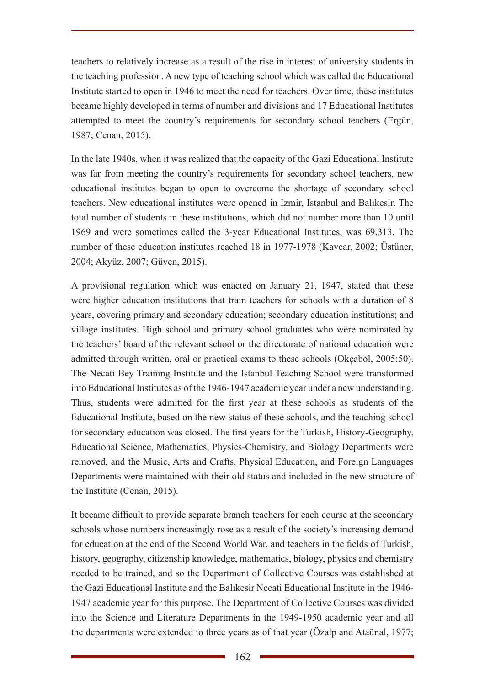teachers to relatively increase as a result of the rise in interest of university students in the teaching profession. A new type of teaching school which was called the Educational Institute started to open in 1946 to meet the need for teachers. Over time, these institutes became highly developed in terms of number and divisions and 17 Educational Institutes attempted to meet the country's requirements for secondary school teachers (Ergün, 1987; Cenan, 2015).

In the late 1940s, when it was realized that the capacity of the Gazi Educational Institute was far from meeting the country's requirements for secondary school teachers, new educational institutes began to open to overcome the shortage of secondary school teachers. New educational institutes were opened in İzmir, Istanbul and Balıkesir. The total number of students in these institutions, which did not number more than 10 until 1969 and were sometimes called the 3-year Educational Institutes, was 69,313. The number of these education institutes reached 18 in 1977-1978 (Kavcar, 2002; Üstüner, 2004; Akyüz, 2007; Güven, 2015).

A provisional regulation which was enacted on January 21, 1947, stated that these were higher education institutions that train teachers for schools with a duration of 8 years, covering primary and secondary education; secondary education institutions; and village institutes. High school and primary school graduates who were nominated by the teachers' board of the relevant school or the directorate of national education were admitted through written, oral or practical exams to these schools (Okçabol, 2005:50). The Necati Bey Training Institute and the Istanbul Teaching School were transformed into Educational Institutes as of the 1946-1947 academic year under a new understanding. Thus, students were admitted for the first year at these schools as students of the Educational Institute, based on the new status of these schools, and the teaching school for secondary education was closed. The first years for the Turkish, History-Geography, Educational Science, Mathematics, Physics-Chemistry, and Biology Departments were removed, and the Music, Arts and Crafts, Physical Education, and Foreign Languages Departments were maintained with their old status and included in the new structure of the Institute (Cenan, 2015).

It became difficult to provide separate branch teachers for each course at the secondary schools whose numbers increasingly rose as a result of the society's increasing demand for education at the end of the Second World War, and teachers in the fields of Turkish, history, geography, citizenship knowledge, mathematics, biology, physics and chemistry needed to be trained, and so the Department of Collective Courses was established at the Gazi Educational Institute and the Balıkesir Necati Educational Institute in the 1946- 1947 academic year for this purpose. The Department of Collective Courses was divided into the Science and Literature Departments in the 1949-1950 academic year and all the departments were extended to three years as of that year (Özalp and Ataünal, 1977;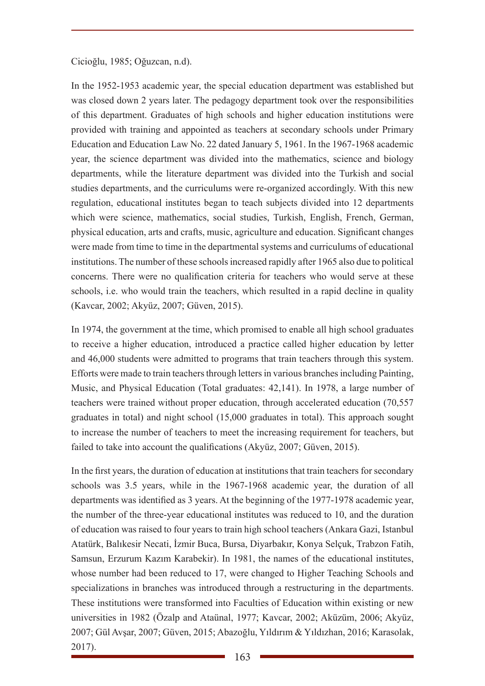Cicioğlu, 1985; Oğuzcan, n.d).

In the 1952-1953 academic year, the special education department was established but was closed down 2 years later. The pedagogy department took over the responsibilities of this department. Graduates of high schools and higher education institutions were provided with training and appointed as teachers at secondary schools under Primary Education and Education Law No. 22 dated January 5, 1961. In the 1967-1968 academic year, the science department was divided into the mathematics, science and biology departments, while the literature department was divided into the Turkish and social studies departments, and the curriculums were re-organized accordingly. With this new regulation, educational institutes began to teach subjects divided into 12 departments which were science, mathematics, social studies, Turkish, English, French, German, physical education, arts and crafts, music, agriculture and education. Significant changes were made from time to time in the departmental systems and curriculums of educational institutions. The number of these schools increased rapidly after 1965 also due to political concerns. There were no qualification criteria for teachers who would serve at these schools, i.e. who would train the teachers, which resulted in a rapid decline in quality (Kavcar, 2002; Akyüz, 2007; Güven, 2015).

In 1974, the government at the time, which promised to enable all high school graduates to receive a higher education, introduced a practice called higher education by letter and 46,000 students were admitted to programs that train teachers through this system. Efforts were made to train teachers through letters in various branches including Painting, Music, and Physical Education (Total graduates: 42,141). In 1978, a large number of teachers were trained without proper education, through accelerated education (70,557 graduates in total) and night school (15,000 graduates in total). This approach sought to increase the number of teachers to meet the increasing requirement for teachers, but failed to take into account the qualifications (Akyüz, 2007; Güven, 2015).

In the first years, the duration of education at institutions that train teachers for secondary schools was 3.5 years, while in the 1967-1968 academic year, the duration of all departments was identified as 3 years. At the beginning of the 1977-1978 academic year, the number of the three-year educational institutes was reduced to 10, and the duration of education was raised to four years to train high school teachers (Ankara Gazi, Istanbul Atatürk, Balıkesir Necati, İzmir Buca, Bursa, Diyarbakır, Konya Selçuk, Trabzon Fatih, Samsun, Erzurum Kazım Karabekir). In 1981, the names of the educational institutes, whose number had been reduced to 17, were changed to Higher Teaching Schools and specializations in branches was introduced through a restructuring in the departments. These institutions were transformed into Faculties of Education within existing or new universities in 1982 (Özalp and Ataünal, 1977; Kavcar, 2002; Aküzüm, 2006; Akyüz, 2007; Gül Avşar, 2007; Güven, 2015; Abazoğlu, Yıldırım & Yıldızhan, 2016; Karasolak, 2017).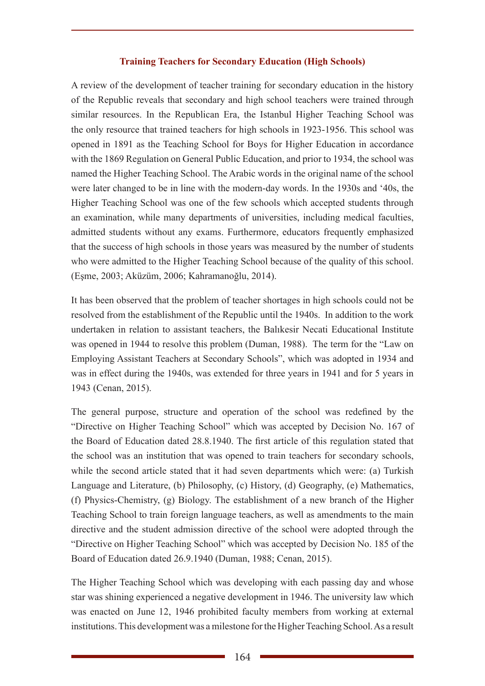#### **Training Teachers for Secondary Education (High Schools)**

A review of the development of teacher training for secondary education in the history of the Republic reveals that secondary and high school teachers were trained through similar resources. In the Republican Era, the Istanbul Higher Teaching School was the only resource that trained teachers for high schools in 1923-1956. This school was opened in 1891 as the Teaching School for Boys for Higher Education in accordance with the 1869 Regulation on General Public Education, and prior to 1934, the school was named the Higher Teaching School. The Arabic words in the original name of the school were later changed to be in line with the modern-day words. In the 1930s and '40s, the Higher Teaching School was one of the few schools which accepted students through an examination, while many departments of universities, including medical faculties, admitted students without any exams. Furthermore, educators frequently emphasized that the success of high schools in those years was measured by the number of students who were admitted to the Higher Teaching School because of the quality of this school. (Eşme, 2003; Aküzüm, 2006; Kahramanoğlu, 2014).

It has been observed that the problem of teacher shortages in high schools could not be resolved from the establishment of the Republic until the 1940s. In addition to the work undertaken in relation to assistant teachers, the Balıkesir Necati Educational Institute was opened in 1944 to resolve this problem (Duman, 1988). The term for the "Law on Employing Assistant Teachers at Secondary Schools", which was adopted in 1934 and was in effect during the 1940s, was extended for three years in 1941 and for 5 years in 1943 (Cenan, 2015).

The general purpose, structure and operation of the school was redefined by the "Directive on Higher Teaching School" which was accepted by Decision No. 167 of the Board of Education dated 28.8.1940. The first article of this regulation stated that the school was an institution that was opened to train teachers for secondary schools, while the second article stated that it had seven departments which were: (a) Turkish Language and Literature, (b) Philosophy, (c) History, (d) Geography, (e) Mathematics, (f) Physics-Chemistry, (g) Biology. The establishment of a new branch of the Higher Teaching School to train foreign language teachers, as well as amendments to the main directive and the student admission directive of the school were adopted through the "Directive on Higher Teaching School" which was accepted by Decision No. 185 of the Board of Education dated 26.9.1940 (Duman, 1988; Cenan, 2015).

The Higher Teaching School which was developing with each passing day and whose star was shining experienced a negative development in 1946. The university law which was enacted on June 12, 1946 prohibited faculty members from working at external institutions. This development was a milestone for the Higher Teaching School. As a result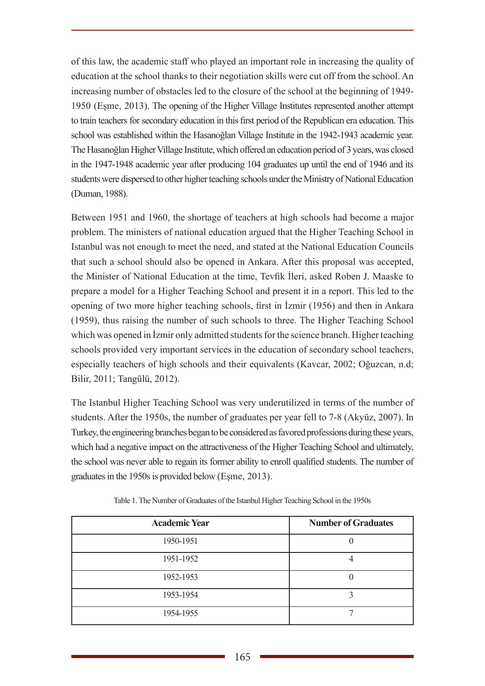of this law, the academic staff who played an important role in increasing the quality of education at the school thanks to their negotiation skills were cut off from the school. An increasing number of obstacles led to the closure of the school at the beginning of 1949- 1950 (Eşme, 2013). The opening of the Higher Village Institutes represented another attempt to train teachers for secondary education in this first period of the Republican era education. This school was established within the Hasanoğlan Village Institute in the 1942-1943 academic year. The Hasanoğlan Higher Village Institute, which offered an education period of 3 years, was closed in the 1947-1948 academic year after producing 104 graduates up until the end of 1946 and its students were dispersed to other higher teaching schools under the Ministry of National Education (Duman, 1988).

Between 1951 and 1960, the shortage of teachers at high schools had become a major problem. The ministers of national education argued that the Higher Teaching School in Istanbul was not enough to meet the need, and stated at the National Education Councils that such a school should also be opened in Ankara. After this proposal was accepted, the Minister of National Education at the time, Tevfik İleri, asked Roben J. Maaske to prepare a model for a Higher Teaching School and present it in a report. This led to the opening of two more higher teaching schools, first in İzmir (1956) and then in Ankara (1959), thus raising the number of such schools to three. The Higher Teaching School which was opened in Izmir only admitted students for the science branch. Higher teaching schools provided very important services in the education of secondary school teachers, especially teachers of high schools and their equivalents (Kavcar, 2002; Oğuzcan, n.d; Bilir, 2011; Tangülü, 2012).

The Istanbul Higher Teaching School was very underutilized in terms of the number of students. After the 1950s, the number of graduates per year fell to 7-8 (Akyüz, 2007). In Turkey, the engineering branches began to be considered as favored professions during these years, which had a negative impact on the attractiveness of the Higher Teaching School and ultimately, the school was never able to regain its former ability to enroll qualified students. The number of graduates in the 1950s is provided below (Eşme, 2013).

| <b>Academic Year</b> | <b>Number of Graduates</b> |
|----------------------|----------------------------|
| 1950-1951            |                            |
| 1951-1952            |                            |
| 1952-1953            |                            |
| 1953-1954            |                            |
| 1954-1955            |                            |

Table 1. The Number of Graduates of the Istanbul Higher Teaching School in the 1950s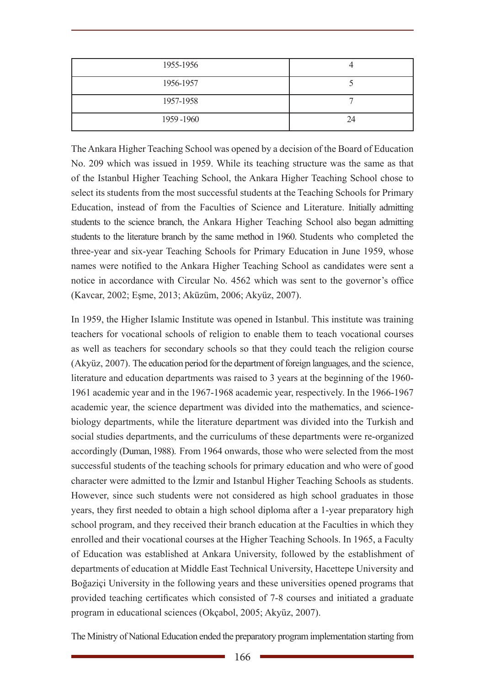| 1955-1956 |    |
|-----------|----|
| 1956-1957 |    |
| 1957-1958 |    |
| 1959-1960 | 24 |

The Ankara Higher Teaching School was opened by a decision of the Board of Education No. 209 which was issued in 1959. While its teaching structure was the same as that of the Istanbul Higher Teaching School, the Ankara Higher Teaching School chose to select its students from the most successful students at the Teaching Schools for Primary Education, instead of from the Faculties of Science and Literature. Initially admitting students to the science branch, the Ankara Higher Teaching School also began admitting students to the literature branch by the same method in 1960. Students who completed the three-year and six-year Teaching Schools for Primary Education in June 1959, whose names were notified to the Ankara Higher Teaching School as candidates were sent a notice in accordance with Circular No. 4562 which was sent to the governor's office (Kavcar, 2002; Eşme, 2013; Aküzüm, 2006; Akyüz, 2007).

In 1959, the Higher Islamic Institute was opened in Istanbul. This institute was training teachers for vocational schools of religion to enable them to teach vocational courses as well as teachers for secondary schools so that they could teach the religion course (Akyüz, 2007). The education period for the department of foreign languages, and the science, literature and education departments was raised to 3 years at the beginning of the 1960- 1961 academic year and in the 1967-1968 academic year, respectively. In the 1966-1967 academic year, the science department was divided into the mathematics, and sciencebiology departments, while the literature department was divided into the Turkish and social studies departments, and the curriculums of these departments were re-organized accordingly (Duman, 1988). From 1964 onwards, those who were selected from the most successful students of the teaching schools for primary education and who were of good character were admitted to the İzmir and Istanbul Higher Teaching Schools as students. However, since such students were not considered as high school graduates in those years, they first needed to obtain a high school diploma after a 1-year preparatory high school program, and they received their branch education at the Faculties in which they enrolled and their vocational courses at the Higher Teaching Schools. In 1965, a Faculty of Education was established at Ankara University, followed by the establishment of departments of education at Middle East Technical University, Hacettepe University and Boğaziçi University in the following years and these universities opened programs that provided teaching certificates which consisted of 7-8 courses and initiated a graduate program in educational sciences (Okçabol, 2005; Akyüz, 2007).

The Ministry of National Education ended the preparatory program implementation starting from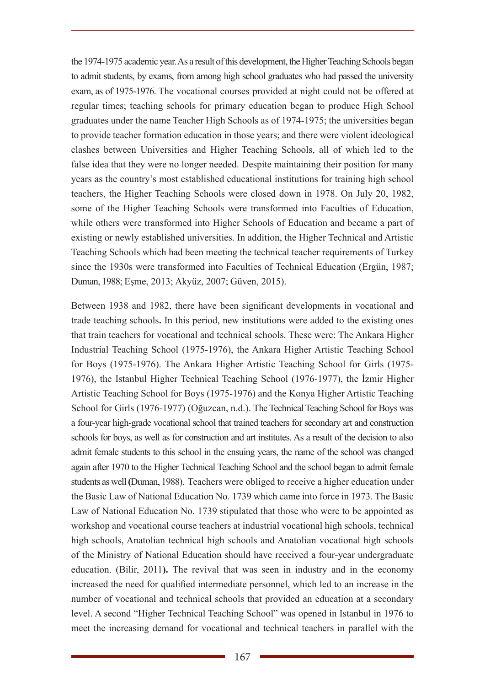the 1974-1975 academic year. As a result of this development, the Higher Teaching Schools began to admit students, by exams, from among high school graduates who had passed the university exam, as of 1975-1976. The vocational courses provided at night could not be offered at regular times; teaching schools for primary education began to produce High School graduates under the name Teacher High Schools as of 1974-1975; the universities began to provide teacher formation education in those years; and there were violent ideological clashes between Universities and Higher Teaching Schools, all of which led to the false idea that they were no longer needed. Despite maintaining their position for many years as the country's most established educational institutions for training high school teachers, the Higher Teaching Schools were closed down in 1978. On July 20, 1982, some of the Higher Teaching Schools were transformed into Faculties of Education, while others were transformed into Higher Schools of Education and became a part of existing or newly established universities. In addition, the Higher Technical and Artistic Teaching Schools which had been meeting the technical teacher requirements of Turkey since the 1930s were transformed into Faculties of Technical Education (Ergün, 1987; Duman, 1988; Eşme, 2013; Akyüz, 2007; Güven, 2015).

Between 1938 and 1982, there have been significant developments in vocational and trade teaching schools**.** In this period, new institutions were added to the existing ones that train teachers for vocational and technical schools. These were: The Ankara Higher Industrial Teaching School (1975-1976), the Ankara Higher Artistic Teaching School for Boys (1975-1976). The Ankara Higher Artistic Teaching School for Girls (1975- 1976), the Istanbul Higher Technical Teaching School (1976-1977), the İzmir Higher Artistic Teaching School for Boys (1975-1976) and the Konya Higher Artistic Teaching School for Girls (1976-1977) (Oğuzcan, n.d.). The Technical Teaching School for Boys was a four-year high-grade vocational school that trained teachers for secondary art and construction schools for boys, as well as for construction and art institutes. As a result of the decision to also admit female students to this school in the ensuing years, the name of the school was changed again after 1970 to the Higher Technical Teaching School and the school began to admit female students as well **(**Duman, 1988). Teachers were obliged to receive a higher education under the Basic Law of National Education No. 1739 which came into force in 1973. The Basic Law of National Education No. 1739 stipulated that those who were to be appointed as workshop and vocational course teachers at industrial vocational high schools, technical high schools, Anatolian technical high schools and Anatolian vocational high schools of the Ministry of National Education should have received a four-year undergraduate education. (Bilir, 2011**).** The revival that was seen in industry and in the economy increased the need for qualified intermediate personnel, which led to an increase in the number of vocational and technical schools that provided an education at a secondary level. A second "Higher Technical Teaching School" was opened in Istanbul in 1976 to meet the increasing demand for vocational and technical teachers in parallel with the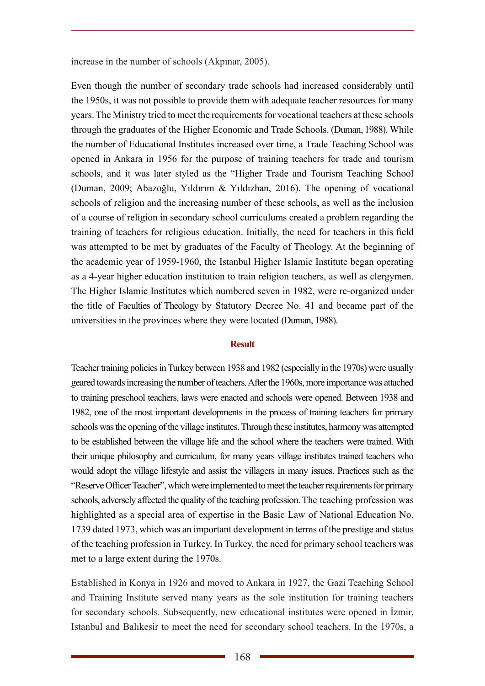increase in the number of schools (Akpınar, 2005).

Even though the number of secondary trade schools had increased considerably until the 1950s, it was not possible to provide them with adequate teacher resources for many years. The Ministry tried to meet the requirements for vocational teachers at these schools through the graduates of the Higher Economic and Trade Schools. (Duman, 1988). While the number of Educational Institutes increased over time, a Trade Teaching School was opened in Ankara in 1956 for the purpose of training teachers for trade and tourism schools, and it was later styled as the "Higher Trade and Tourism Teaching School (Duman, 2009; Abazoğlu, Yıldırım & Yıldızhan, 2016). The opening of vocational schools of religion and the increasing number of these schools, as well as the inclusion of a course of religion in secondary school curriculums created a problem regarding the training of teachers for religious education. Initially, the need for teachers in this field was attempted to be met by graduates of the Faculty of Theology. At the beginning of the academic year of 1959-1960, the Istanbul Higher Islamic Institute began operating as a 4-year higher education institution to train religion teachers, as well as clergymen. The Higher Islamic Institutes which numbered seven in 1982, were re-organized under the title of Faculties of Theology by Statutory Decree No. 41 and became part of the universities in the provinces where they were located (Duman, 1988).

#### **Result**

Teacher training policies in Turkey between 1938 and 1982 (especially in the 1970s) were usually geared towards increasing the number of teachers. After the 1960s, more importance was attached to training preschool teachers, laws were enacted and schools were opened. Between 1938 and 1982, one of the most important developments in the process of training teachers for primary schools was the opening of the village institutes. Through these institutes, harmony was attempted to be established between the village life and the school where the teachers were trained. With their unique philosophy and curriculum, for many years village institutes trained teachers who would adopt the village lifestyle and assist the villagers in many issues. Practices such as the "Reserve Officer Teacher", which were implemented to meet the teacher requirements for primary schools, adversely affected the quality of the teaching profession. The teaching profession was highlighted as a special area of expertise in the Basic Law of National Education No. 1739 dated 1973, which was an important development in terms of the prestige and status of the teaching profession in Turkey. In Turkey, the need for primary school teachers was met to a large extent during the 1970s.

Established in Konya in 1926 and moved to Ankara in 1927, the Gazi Teaching School and Training Institute served many years as the sole institution for training teachers for secondary schools. Subsequently, new educational institutes were opened in İzmir, Istanbul and Balıkesir to meet the need for secondary school teachers. In the 1970s, a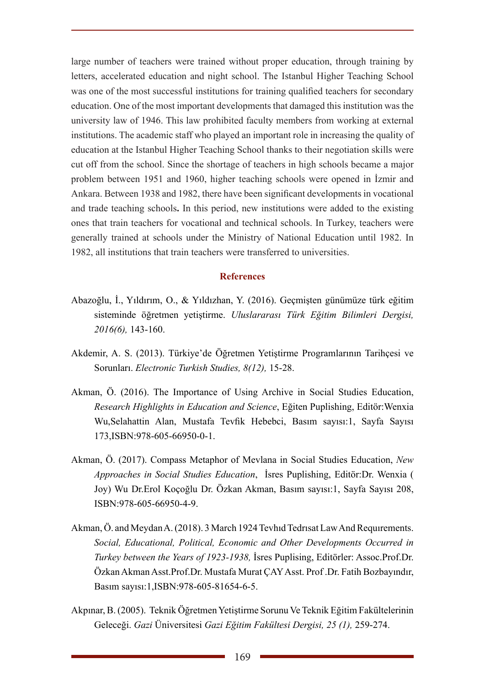large number of teachers were trained without proper education, through training by letters, accelerated education and night school. The Istanbul Higher Teaching School was one of the most successful institutions for training qualified teachers for secondary education. One of the most important developments that damaged this institution was the university law of 1946. This law prohibited faculty members from working at external institutions. The academic staff who played an important role in increasing the quality of education at the Istanbul Higher Teaching School thanks to their negotiation skills were cut off from the school. Since the shortage of teachers in high schools became a major problem between 1951 and 1960, higher teaching schools were opened in İzmir and Ankara. Between 1938 and 1982, there have been significant developments in vocational and trade teaching schools**.** In this period, new institutions were added to the existing ones that train teachers for vocational and technical schools. In Turkey, teachers were generally trained at schools under the Ministry of National Education until 1982. In 1982, all institutions that train teachers were transferred to universities.

#### **References**

- Abazoğlu, İ., Yıldırım, O., & Yıldızhan, Y. (2016). Geçmişten günümüze türk eğitim sisteminde öğretmen yetiştirme. *Uluslararası Türk Eğitim Bilimleri Dergisi, 2016(6),* 143-160.
- Akdemir, A. S. (2013). Türkiye'de Öğretmen Yetiştirme Programlarının Tarihçesi ve Sorunları. *Electronic Turkish Studies, 8(12),* 15-28.
- Akman, Ö. (2016). The Importance of Using Archive in Social Studies Education, *Research Highlights in Education and Science*, Eğiten Puplishing, Editör:Wenxia Wu,Selahattin Alan, Mustafa Tevfik Hebebci, Basım sayısı:1, Sayfa Sayısı 173,ISBN:978-605-66950-0-1.
- Akman, Ö. (2017). Compass Metaphor of Mevlana in Social Studies Education, *New Approaches in Social Studies Education*, İsres Puplishing, Editör:Dr. Wenxia ( Joy) Wu Dr.Erol Koçoğlu Dr. Özkan Akman, Basım sayısı:1, Sayfa Sayısı 208, ISBN:978-605-66950-4-9.
- Akman, Ö. and Meydan A. (2018). 3 March 1924 Tevhıd Tedrısat Law And Requırements. *Social, Educational, Political, Economic and Other Developments Occurred in Turkey between the Years of 1923-1938,* İsres Puplising, Editörler: Assoc.Prof.Dr. Özkan Akman Asst.Prof.Dr. Mustafa Murat ÇAY Asst. Prof .Dr. Fatih Bozbayındır, Basım sayısı:1,ISBN:978-605-81654-6-5.
- Akpınar, B. (2005). Teknik Öğretmen Yetiştirme Sorunu Ve Teknik Eğitim Fakültelerinin Geleceği. *Gazi* Üniversitesi *Gazi Eğitim Fakültesi Dergisi, 25 (1),* 259-274.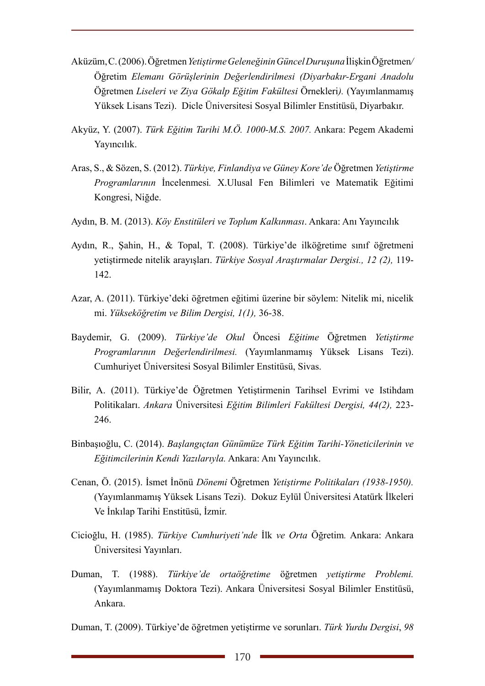- Aküzüm, C. (2006). Öğretmen *Yetiştirme Geleneğinin Güncel Duruşuna* İlişkinÖğretmen*/*  Öğretim *Elemanı Görüşlerinin Değerlendirilmesi (Diyarbakır-Ergani Anadolu*  Öğretmen *Liseleri ve Ziya Gökalp Eğitim Fakültesi* Örnekleri*).* (Yayımlanmamış Yüksek Lisans Tezi). Dicle Üniversitesi Sosyal Bilimler Enstitüsü, Diyarbakır.
- Akyüz, Y. (2007). *Türk Eğitim Tarihi M.Ö. 1000-M.S. 2007.* Ankara: Pegem Akademi Yayıncılık.
- Aras, S., & Sözen, S. (2012). *Türkiye, Finlandiya ve Güney Kore'de* Öğretmen *Yetiştirme Programlarının* İncelenmesi*.* X.Ulusal Fen Bilimleri ve Matematik Eğitimi Kongresi, Niğde.
- Aydın, B. M. (2013). *Köy Enstitüleri ve Toplum Kalkınması*. Ankara: Anı Yayıncılık
- Aydın, R., Şahin, H., & Topal, T. (2008). Türkiye'de ilköğretime sınıf öğretmeni yetiştirmede nitelik arayışları. *Türkiye Sosyal Araştırmalar Dergisi., 12 (2),* 119- 142.
- Azar, A. (2011). Türkiye'deki öğretmen eğitimi üzerine bir söylem: Nitelik mi, nicelik mi. *Yükseköğretim ve Bilim Dergisi, 1(1),* 36-38.
- Baydemir, G. (2009). *Türkiye'de Okul* Öncesi *Eğitime* Öğretmen *Yetiştirme Programlarının Değerlendirilmesi.* (Yayımlanmamış Yüksek Lisans Tezi). Cumhuriyet Üniversitesi Sosyal Bilimler Enstitüsü, Sivas.
- Bilir, A. (2011). Türkiye'de Öğretmen Yetiştirmenin Tarihsel Evrimi ve Istihdam Politikaları. *Ankara* Üniversitesi *Eğitim Bilimleri Fakültesi Dergisi, 44(2),* 223- 246.
- Binbaşıoğlu, C. (2014). *Başlangıçtan Günümüze Türk Eğitim Tarihi-Yöneticilerinin ve Eğitimcilerinin Kendi Yazılarıyla.* Ankara: Anı Yayıncılık.
- Cenan, Ö. (2015). İsmet İnönü *Dönemi* Öğretmen *Yetiştirme Politikaları (1938-1950).*  (Yayımlanmamış Yüksek Lisans Tezi). Dokuz Eylül Üniversitesi Atatürk İlkeleri Ve İnkılap Tarihi Enstitüsü, İzmir.
- Cicioğlu, H. (1985). *Türkiye Cumhuriyeti'nde* İlk *ve Orta* Öğretim*.* Ankara: Ankara Üniversitesi Yayınları.
- Duman, T. (1988). *Türkiye'de ortaöğretime* öğretmen *yetiştirme Problemi.* (Yayımlanmamış Doktora Tezi). Ankara Üniversitesi Sosyal Bilimler Enstitüsü, Ankara.

Duman, T. (2009). Türkiye'de öğretmen yetiştirme ve sorunları. *Türk Yurdu Dergisi*, *98*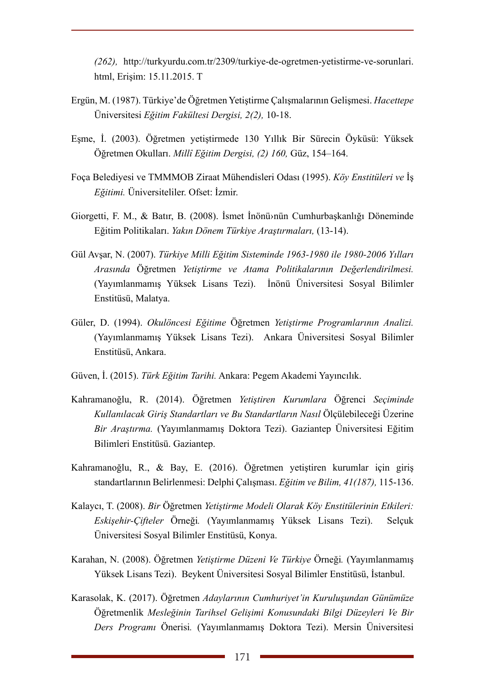*(262),* http://turkyurdu.com.tr/2309/turkiye-de-ogretmen-yetistirme-ve-sorunlari. html, Erişim: 15.11.2015. T

- Ergün, M. (1987). Türkiye'de Öğretmen Yetiştirme Çalışmalarının Gelişmesi. *Hacettepe*  Üniversitesi *Eğitim Fakültesi Dergisi, 2(2),* 10-18.
- Eşme, İ. (2003). Öğretmen yetiştirmede 130 Yıllık Bir Sürecin Öyküsü: Yüksek Öğretmen Okulları. *Millî Eğitim Dergisi, (2) 160,* Güz, 154–164.
- Foça Belediyesi ve TMMMOB Ziraat Mühendisleri Odası (1995). *Köy Enstitüleri ve* İş *Eğitimi.* Üniversiteliler. Ofset: İzmir.
- Giorgetti, F. M., & Batır, B. (2008). İsmet İnönü›nün Cumhurbaşkanlığı Döneminde Eğitim Politikaları. *Yakın Dönem Türkiye Araştırmaları,* (13-14).
- Gül Avşar, N. (2007). *Türkiye Milli Eğitim Sisteminde 1963-1980 ile 1980-2006 Yılları Arasında* Öğretmen *Yetiştirme ve Atama Politikalarının Değerlendirilmesi.* (Yayımlanmamış Yüksek Lisans Tezi). İnönü Üniversitesi Sosyal Bilimler Enstitüsü, Malatya.
- Güler, D. (1994). *Okulöncesi Eğitime* Öğretmen *Yetiştirme Programlarının Analizi.* (Yayımlanmamış Yüksek Lisans Tezi). Ankara Üniversitesi Sosyal Bilimler Enstitüsü, Ankara.
- Güven, İ. (2015). *Türk Eğitim Tarihi.* Ankara: Pegem Akademi Yayıncılık.
- Kahramanoğlu, R. (2014). Öğretmen *Yetiştiren Kurumlara* Öğrenci *Seçiminde Kullanılacak Giriş Standartları ve Bu Standartların Nasıl* Ölçülebileceği Üzerine *Bir Araştırma.* (Yayımlanmamış Doktora Tezi). Gaziantep Üniversitesi Eğitim Bilimleri Enstitüsü. Gaziantep.
- Kahramanoğlu, R., & Bay, E. (2016). Öğretmen yetiştiren kurumlar için giriş standartlarının Belirlenmesi: Delphi Çalışması. *Eğitim ve Bilim, 41(187),* 115-136.
- Kalaycı, T. (2008). *Bir* Öğretmen *Yetiştirme Modeli Olarak Köy Enstitülerinin Etkileri: Eskişehir-Çifteler* Örneği*.* (Yayımlanmamış Yüksek Lisans Tezi). Selçuk Üniversitesi Sosyal Bilimler Enstitüsü, Konya.
- Karahan, N. (2008). Öğretmen *Yetiştirme Düzeni Ve Türkiye* Örneği*.* (Yayımlanmamış Yüksek Lisans Tezi). Beykent Üniversitesi Sosyal Bilimler Enstitüsü, İstanbul.
- Karasolak, K. (2017). Öğretmen *Adaylarının Cumhuriyet'in Kuruluşundan Günümüze*  Öğretmenlik *Mesleğinin Tarihsel Gelişimi Konusundaki Bilgi Düzeyleri Ve Bir Ders Programı* Önerisi*.* (Yayımlanmamış Doktora Tezi). Mersin Üniversitesi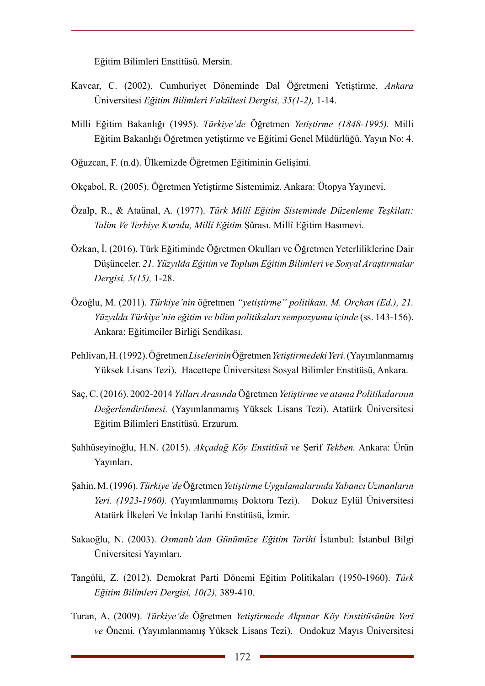Eğitim Bilimleri Enstitüsü. Mersin.

- Kavcar, C. (2002). Cumhuriyet Döneminde Dal Öğretmeni Yetiştirme. *Ankara*  Üniversitesi *Eğitim Bilimleri Fakültesi Dergisi, 35(1-2),* 1-14.
- Milli Eğitim Bakanlığı (1995). *Türkiye'de* Öğretmen *Yetiştirme (1848-1995).* Milli Eğitim Bakanlığı Öğretmen yetiştirme ve Eğitimi Genel Müdürlüğü. Yayın No: 4.
- Oğuzcan, F. (n.d). Ülkemizde Öğretmen Eğitiminin Gelişimi.
- Okçabol, R. (2005). Öğretmen Yetiştirme Sistemimiz. Ankara: Ütopya Yayınevi.
- Özalp, R., & Ataünal, A. (1977). *Türk Millî Eğitim Sisteminde Düzenleme Teşkilatı: Talim Ve Terbiye Kurulu, Millî Eğitim* Şûrası*.* Millî Eğitim Basımevi.
- Özkan, İ. (2016). Türk Eğitiminde Öğretmen Okulları ve Öğretmen Yeterliliklerine Dair Düşünceler. *21. Yüzyılda Eğitim ve Toplum Eğitim Bilimleri ve Sosyal Araştırmalar Dergisi, 5(15),* 1-28.
- Özoğlu, M. (2011). *Türkiye'nin* öğretmen *"yetiştirme" politikası. M. Orçhan (Ed.), 21. Yüzyılda Türkiye'nin eğitim ve bilim politikaları sempozyumu içinde* (ss. 143-156). Ankara: Eğitimciler Birliği Sendikası.
- Pehlivan, H. (1992). Öğretmen *Liselerinin* Öğretmen *Yetiştirmedeki Yeri.* (Yayımlanmamış Yüksek Lisans Tezi). Hacettepe Üniversitesi Sosyal Bilimler Enstitüsü, Ankara.
- Saç, C. (2016). 2002-2014 *Yılları Arasında* Öğretmen *Yetiştirme ve atama Politikalarının Değerlendirilmesi.* (Yayımlanmamış Yüksek Lisans Tezi). Atatürk Üniversitesi Eğitim Bilimleri Enstitüsü. Erzurum.
- Şahhüseyinoğlu, H.N. (2015). *Akçadağ Köy Enstitüsü ve* Şerif *Tekben.* Ankara: Ürün Yayınları.
- Şahin, M. (1996). *Türkiye'de* Öğretmen *Yetiştirme Uygulamalarında Yabancı Uzmanların Yeri. (1923-1960).* (Yayımlanmamış Doktora Tezi). Dokuz Eylül Üniversitesi Atatürk İlkeleri Ve İnkılap Tarihi Enstitüsü, İzmir.
- Sakaoğlu, N. (2003). *Osmanlı'dan Günümüze Eğitim Tarihi* İstanbul: İstanbul Bilgi Üniversitesi Yayınları.
- Tangülü, Z. (2012). Demokrat Parti Dönemi Eğitim Politikaları (1950-1960). *Türk Eğitim Bilimleri Dergisi, 10(2),* 389-410.
- Turan, A. (2009). *Türkiye'de* Öğretmen *Yetiştirmede Akpınar Köy Enstitüsünün Yeri ve* Önemi*.* (Yayımlanmamış Yüksek Lisans Tezi). Ondokuz Mayıs Üniversitesi